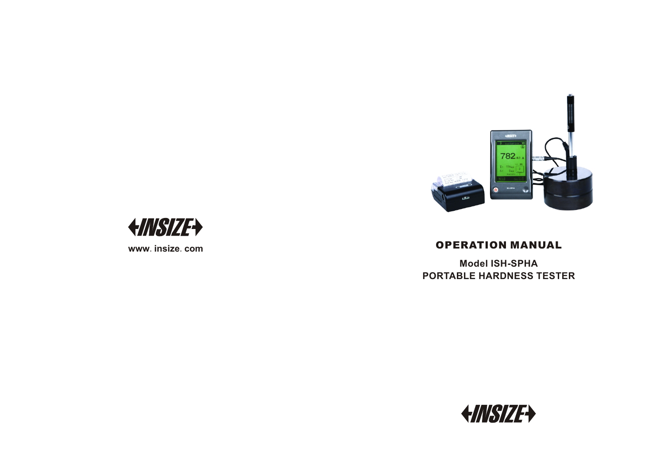



**www** .**insize** .**com**

## OPERATION MANUAL

**M o d el I S H - S P H A P O R TA B LE H A R D N E SS T E S T E R**

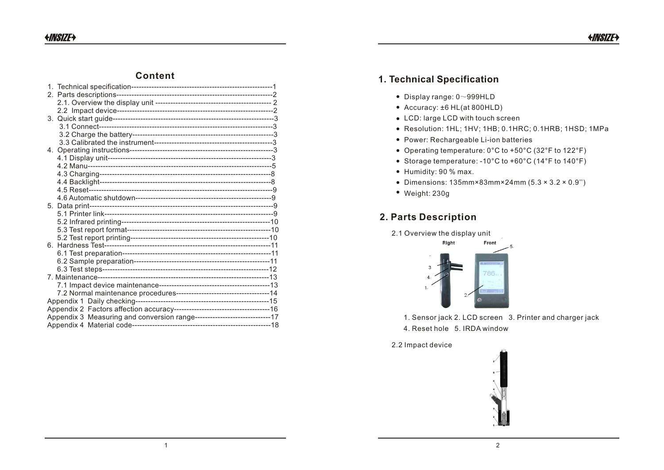## **Content**

| Appendix 3 Measuring and conversion range-----------------------------17 |  |
|--------------------------------------------------------------------------|--|
|                                                                          |  |

## **1. Technical Specification**

- $\bullet$  Display range: 0~999HLD
- Accuracy: ±6 HL(at 800HLD)
- LCD: large LCD with touch screen
- Resolution: 1HL; 1HV; 1HB; 0.1HRC; 0.1HRB; 1HSD; 1MPa
- Power: Rechargeable Li-ion batteries
- Operating temperature: 0°C to +50°C (32°F to 122°F)
- Storage temperature: -10°C to +60°C (14°F to 140°F)
- Humidity: 90 % max.
- Dimensions: 135mm×83mm×24mm (5.3 × 3.2 × 0.9'')
- Weight: 230g

## **2. Parts Description**





1. Sensor jack 2. LCD screen 3. Printer and charger jack 4. Reset hole 5. IRDA window

2.2 Impact device

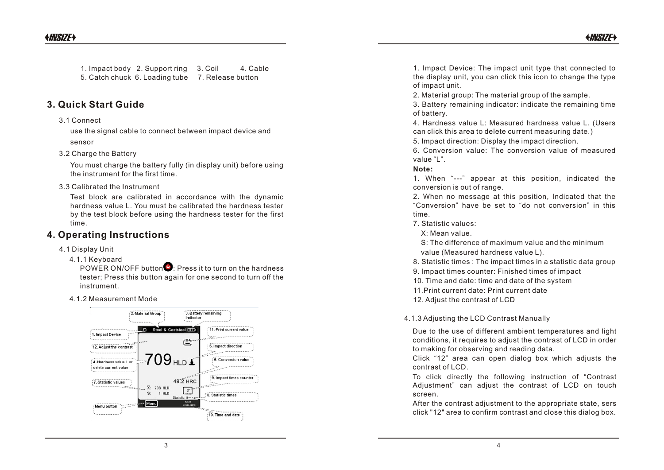1. Impact body 2. Support ring 3. Coil 4. Cable 5. Catch chuck 6. Loading tube 7. Release button

## **3. Quick Start Guide**

### 3.1 Connect

use the signal cable to connect between impact device and sensor

### 3.2 Charge the Battery

You must charge the battery fully (in display unit) before using the instrument for the first time.

3.3 Calibrated the Instrument

Test block are calibrated in accordance with the dynamic hardness value L. You must be calibrated the hardness tester by the test block before using the hardness tester for the first time.

## **4. Operating Instructions**

- 4.1 Display Unit
	- 4.1.1 Keyboard

POWER ON/OFF button  $\bullet$ : Press it to turn on the hardness tester; Press this button again for one second to turn off the instrument.



1. Impact Device: The impact unit type that connected to the display unit, you can click this icon to change the type of impact unit.

2. Material group: The material group of the sample.

3. Battery remaining indicator: indicate the remaining time of battery.

4. Hardness value L: Measured hardness value L. (Users can click this area to delete current measuring date.)

5. Impact direction: Display the impact direction.

6. Conversion value: The conversion value of measured value "L".

### **Note:**

1. When "---" appear at this position, indicated the conversion is out of range.

2. When no message at this position, Indicated that the "Conversion" have be set to "do not conversion" in this time.

7. Statistic values:

X: Mean value.

 S: The difference of maximum value and the minimum value (Measured hardness value L).

8. Statistic times : The impact times in a statistic data group

9. Impact times counter: Finished times of impact

10. Time and date: time and date of the system

11.Print current date: Print current date

4.1.2 Measurement Mode 12. Adjust the contrast of LCD

4.1.3 Adjusting the LCD Contrast Manually

Due to the use of different ambient temperatures and light conditions, it requires to adjust the contrast of LCD in order to making for observing and reading data.

Click "12" area can open dialog box which adjusts the contrast of LCD.

To click directly the following instruction of "Contrast Adjustment" can adjust the contrast of LCD on touch screen.

After the contrast adjustment to the appropriate state, sers click "12" area to confirm contrast and close this dialog box.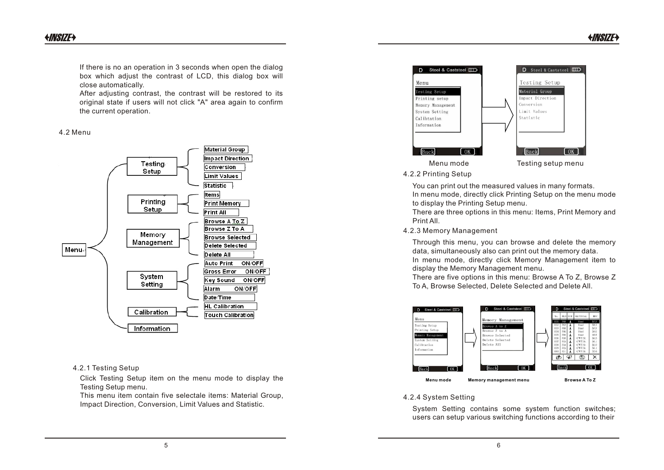If there is no an operation in 3 seconds when open the dialog box which adjust the contrast of LCD, this dialog box will close automatically.

After adjusting contrast, the contrast will be restored to its original state if users will not click "A" area again to confirm the current operation.

#### 4.2 Menu



### 4.2.1 Testing Setup

Click Testing Setup item on the menu mode to display the Testing Setup menu.

This menu item contain five selectale items: Material Group, Impact Direction, Conversion, Limit Values and Statistic.



4.2.2 Printing Setup

You can print out the measured values in many formats. In menu mode, directly click Printing Setup on the menu mode to display the Printing Setup menu.

There are three options in this menu: Items, Print Memory and Print All.

4.2.3 Memory Management

Through this menu, you can browse and delete the memory data, simultaneously also can print out the memory data. In menu mode, directly click Memory Management item to display the Memory Management menu.

There are five options in this menu: Browse A To Z, Browse Z To A, Browse Selected, Delete Selected and Delete All.



### 4.2.4 System Setting

System Setting contains some system function switches; users can setup various switching functions according to their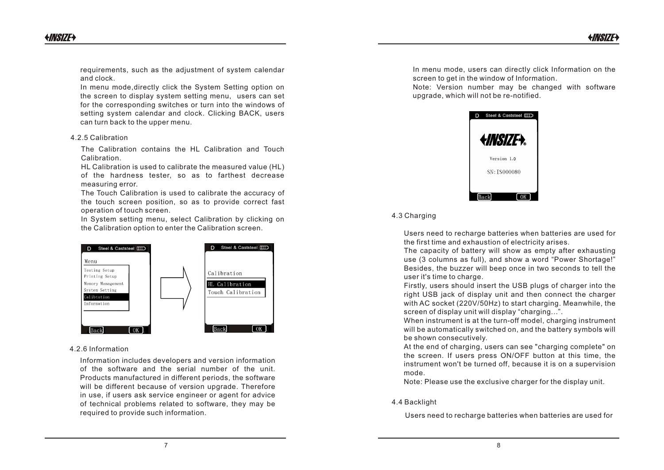requirements, such as the adjustment of system calendar and clock.

In menu mode,directly click the System Setting option on the screen to display system setting menu, users can set for the corresponding switches or turn into the windows of setting system calendar and clock. Clicking BACK, users can turn back to the upper menu.

#### 4.2.5 Calibration

The Calibration contains the HL Calibration and Touch Calibration.

HL Calibration is used to calibrate the measured value (HL) of the hardness tester, so as to farthest decrease measuring error.

The Touch Calibration is used to calibrate the accuracy of the touch screen position, so as to provide correct fast operation of touch screen.

In System setting menu, select Calibration by clicking on the Calibration option to enter the Calibration screen.



#### 4.2.6 Information

Information includes developers and version information of the software and the serial number of the unit. Products manufactured in different periods, the software will be different because of version upgrade. Therefore in use, if users ask service engineer or agent for advice of technical problems related to software, they may be required to provide such information.

In menu mode, users can directly click Information on the screen to get in the window of Information.

Note: Version number may be changed with software upgrade, which will not be re-notified.



### 4.3 Charging

Users need to recharge batteries when batteries are used for the first time and exhaustion of electricity arises.

The capacity of battery will show as empty after exhausting use (3 columns as full), and show a word "Power Shortage!" Besides, the buzzer will beep once in two seconds to tell the user it's time to charge.

Firstly, users should insert the USB plugs of charger into the right USB jack of display unit and then connect the charger with AC socket (220V/50Hz) to start charging. Meanwhile, the screen of display unit will display "charging...".

When instrument is at the turn-off model, charging instrument will be automatically switched on, and the battery symbols will be shown consecutively.

At the end of charging, users can see "charging complete" on the screen. If users press ON/OFF button at this time, the instrument won't be turned off, because it is on a supervision mode.

Note: Please use the exclusive charger for the display unit.

#### 4.4 Backlight

Users need to recharge batteries when batteries are used for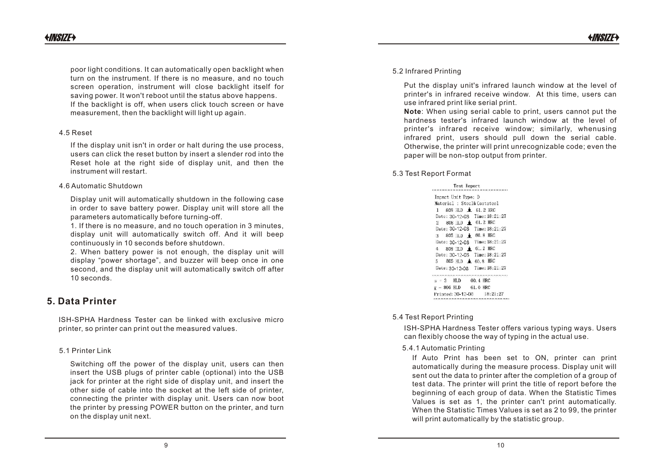poor light conditions. It can automatically open backlight when turn on the instrument. If there is no measure, and no touch screen operation, instrument will close backlight itself for saving power. It won't reboot until the status above happens. If the backlight is off, when users click touch screen or have measurement, then the backlight will light up again.

#### 4.5 Reset

If the display unit isn't in order or halt during the use process, users can click the reset button by insert a slender rod into the Reset hole at the right side of display unit, and then the instrument will restart.

#### 4.6 Automatic Shutdown

Display unit will automatically shutdown in the following case in order to save battery power. Display unit will store all the parameters automatically before turning-off.

1. If there is no measure, and no touch operation in 3 minutes, display unit will automatically switch off. And it will beep continuously in 10 seconds before shutdown.

2. When battery power is not enough, the display unit will display "power shortage", and buzzer will beep once in one second, and the display unit will automatically switch off after 10 seconds.

## **5. Data Printer**

ISH-SPHA Hardness Tester can be linked with exclusive micro printer, so printer can print out the measured values.

### 5.1 Printer Link

Switching off the power of the display unit, users can then insert the USB plugs of printer cable (optional) into the USB jack for printer at the right side of display unit, and insert the other side of cable into the socket at the left side of printer, connecting the printer with display unit. Users can now boot the printer by pressing POWER button on the printer, and turn on the display unit next.

### 5.2 Infrared Printing

Put the display unit's infrared launch window at the level of printer's in infrared receive window. At this time, users can use infrared print like serial print.

**Note**: When using serial cable to print, users cannot put the hardness tester's infrared launch window at the level of printer's infrared receive window; similarly, whenusing infrared print, users should pull down the serial cable. Otherwise, the printer will print unrecognizable code; even the paper will be non-stop output from printer.

### 5.3 Test Report Format

| Test Report                     |  |  |  |
|---------------------------------|--|--|--|
| Impact Unit Type: D             |  |  |  |
| Material : Steel& Caststeel     |  |  |  |
| $1$ 809 HLD $\pm$ 61.2 HRC      |  |  |  |
| Date: 30-12-08 Time: 18:21:27   |  |  |  |
| 2 808 ILD $\triangleq$ 61.2 HRC |  |  |  |
| Date: 30-12-08 Time: 18:21:27   |  |  |  |
| 3 805 HLD $\pm$ 60.8 HRC        |  |  |  |
| Date: 30-12-08 Time: 18:21:27   |  |  |  |
| 808 IILD <b>6</b> 61.2 HRC<br>4 |  |  |  |
| Date: 30-12-08 Time: 18:21:27   |  |  |  |
| 5 805 HLD $\pm$ 60.8 HRC        |  |  |  |
| Date: 30-12-08 Time: 18:21:27   |  |  |  |
| 00.4 HRC<br>$s = 3$ HLD         |  |  |  |
| $\bar{x}$ – 806 HLD 61.0 HRC    |  |  |  |
| Printed: 30-12-08 18:21:27      |  |  |  |
|                                 |  |  |  |

### 5.4 Test Report Printing

ISH-SPHA Hardness Tester offers various typing ways. Users can flexibly choose the way of typing in the actual use.

### 5.4.1 Automatic Printing

If Auto Print has been set to ON, printer can print automatically during the measure process. Display unit will sent out the data to printer after the completion of a group of test data. The printer will print the title of report before the beginning of each group of data. When the Statistic Times Values is set as 1, the printer can't print automatically. When the Statistic Times Values is set as 2 to 99, the printer will print automatically by the statistic group.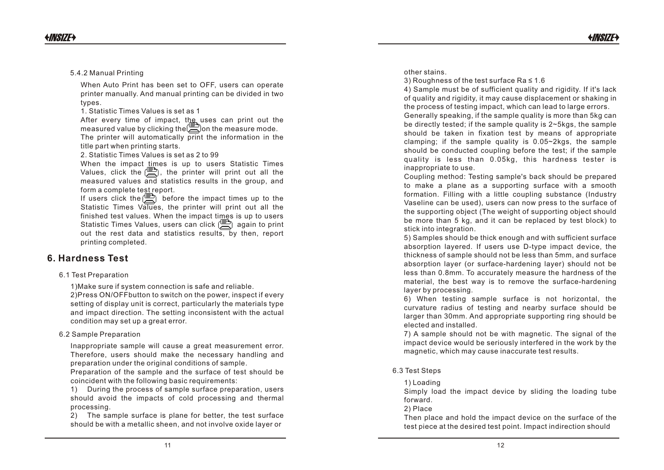54. A beneficient manual when the same state of the same special of the same state of the same state of the same state of the same state of the same state of the same state of the same state of the same state of the same 5.4 204 facebook (Pinters later) and Pinters in the state of the state of the state of the state of the state of the state of the state of the state of the state of the state of the state of the state of the state of the

ce Ra ≤ 1 .6

4) Sample must be of sufficient quality and rigidity. If it's lack of quality and rigidity, it may cause displacement or shaking in the process of testing impact, which can lead to large errors. Generally speaking, if the sample quality is more than 5kg can be directly tested; if the sample quality is 2~5kgs, the sample should be taken in fixation test by means of appropriate clamping; if the sample quality is 0.05~2kgs, the sample should be conducted coupling before the test; if the sample quality is less than 0.05kg, this hardness tester is inappropriate to use.

Coupling method: Testing sample's back should be prepared<br>to make a plane as a supporting surface with a smooth<br>formation. Filling with a little coupling substance (Industry<br>Vaseline can be used), users can now press to th

5) Samples should be thick enough and with sufficient surface<br>absorption layered. If users use D-type impact device, the<br>thickness of sample should not be less than 5mm, and surface<br>absorption layer (or surface-hardening l

6) When testing sample surface is not horizontal, the curvature radius of testing and nearby surface should be larger than 30mm. And appropriate supporting ring should be elected and installed.

7) A sample should not be with magnetic. The signal of the impact device would be seriously interfered in the work by the magnetic, which may cause inaccurate test results.

6.3 Test Steps

### 1) L o a din g

Simply load the impact device by sliding the loading tube forward.

2) Pla c e

Then place and hold the impact device on the surface of the test piece at the desired test point. Impact indirection should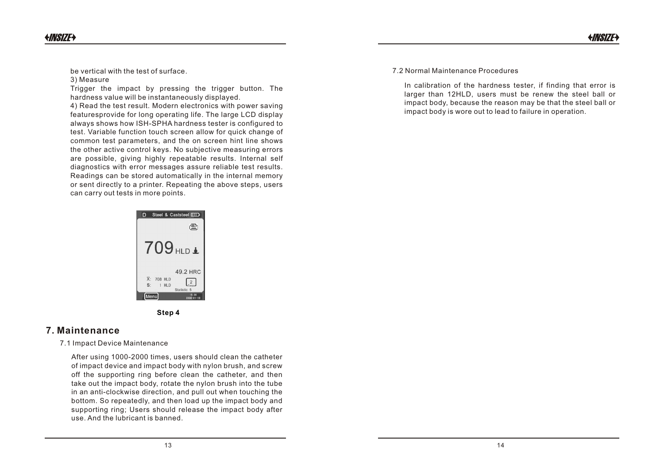be vertical with the test of surface.

#### 3) Measure

Trigger the impact by pressing the trigger button. The hardness value will be instantaneously displayed.

4) Read the test result. Modern electronics with power saving featuresprovide for long operating life. The large LCD display always shows how ISH-SPHA hardness tester is configured to test. Variable function touch screen allow for quick change of common test parameters, and the on screen hint line shows the other active control keys. No subjective measuring errors are possible, giving highly repeatable results. Internal self diagnostics with error messages assure reliable test results. Readings can be stored automatically in the internal memory or sent directly to a printer. Repeating the above steps, users can carry out tests in more points.

> D Steel & Caststeel IIID  $\oplus$ 709 HLD 1 49.2 HRC X: 708 HLD  $\left[\frac{2}{2}\right]$ 1 HLD



## **7. Maintenance**

7.1 Impact Device Maintenance

After using 1000-2000 times, users should clean the catheter of impact device and impact body with nylon brush, and screw off the supporting ring before clean the catheter, and then take out the impact body, rotate the nylon brush into the tube in an anti-clockwise direction, and pull out when touching the bottom. So repeatedly, and then load up the impact body and supporting ring; Users should release the impact body after use. And the lubricant is banned.

7.2 Normal Maintenance Procedures

In calibration of the hardness tester, if finding that error is larger than 12HLD, users must be renew the steel ball or impact body, because the reason may be that the steel ball or impact body is wore out to lead to failure in operation.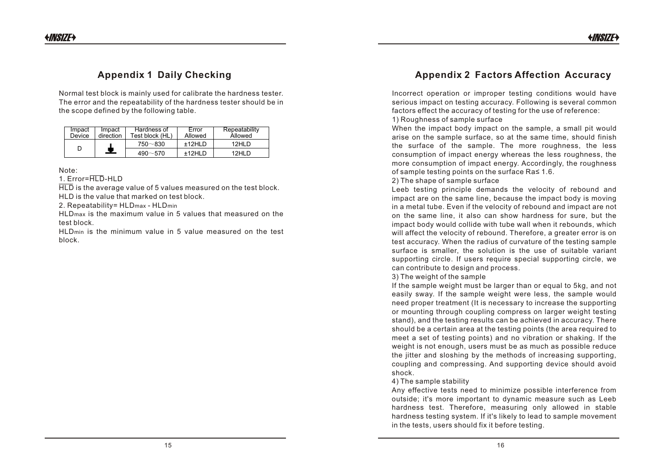## **Appendix 1 Daily Checking**

Normal test block is mainly used for calibrate the hardness tester. The error and the repeatability of the hardness tester should be in the scope defined by the following table.

| Impact<br>Device | Impact<br>direction | Hardness of<br>Test block (HL) | Error<br>Allowed | Repeatability<br>Allowed |
|------------------|---------------------|--------------------------------|------------------|--------------------------|
|                  |                     | $750 - 830$                    | +12HID           | 12HI D                   |
|                  | Ξ.                  | $490 - 570$                    | +12HI D          | 12HI D                   |

Note:

1.  $Error=HTD-HLD$ 

HLD is the average value of 5 values measured on the test block. HLD is the value that marked on test block.

2. Repeatability= HLDmax - HLDmin

HLDmax is the maximum value in 5 values that measured on the test block.

HLDmin is the minimum value in 5 value measured on the test block.

## **Appendix 2 Factors Affection Accuracy**

Incorrect operation or improper testing conditions would have serious impact on testing accuracy. Following is several common factors effect the accuracy of testing for the use of reference:

1) Roughness of sample surface

When the impact body impact on the sample, a small pit would arise on the sample surface, so at the same time, should finish the surface of the sample. The more roughness, the less consumption of impact energy whereas the less roughness, the more consumption of impact energy. Accordingly, the roughness of sample testing points on the surface Ra≤ 1.6.

2) The shape of sample surface

Leeb testing principle demands the velocity of rebound and impact are on the same line, because the impact body is moving in a metal tube. Even if the velocity of rebound and impact are not on the same line, it also can show hardness for sure, but the impact body would collide with tube wall when it rebounds, which will affect the velocity of rebound. Therefore, a greater error is on test accuracy. When the radius of curvature of the testing sample surface is smaller, the solution is the use of suitable variant supporting circle. If users require special supporting circle, we can contribute to design and process.

3) The weight of the sample

If the sample weight must be larger than or equal to 5kg, and not easily sway. If the sample weight were less, the sample would need proper treatment (It is necessary to increase the supporting or mounting through coupling compress on larger weight testing stand), and the testing results can be achieved in accuracy. There should be a certain area at the testing points (the area required to meet a set of testing points) and no vibration or shaking. If the weight is not enough, users must be as much as possible reduce the jitter and sloshing by the methods of increasing supporting, coupling and compressing. And supporting device should avoid shock.

### 4) The sample stability

Any effective tests need to minimize possible interference from outside; it's more important to dynamic measure such as Leeb hardness test. Therefore, measuring only allowed in stable hardness testing system. If it's likely to lead to sample movement in the tests, users should fix it before testing.